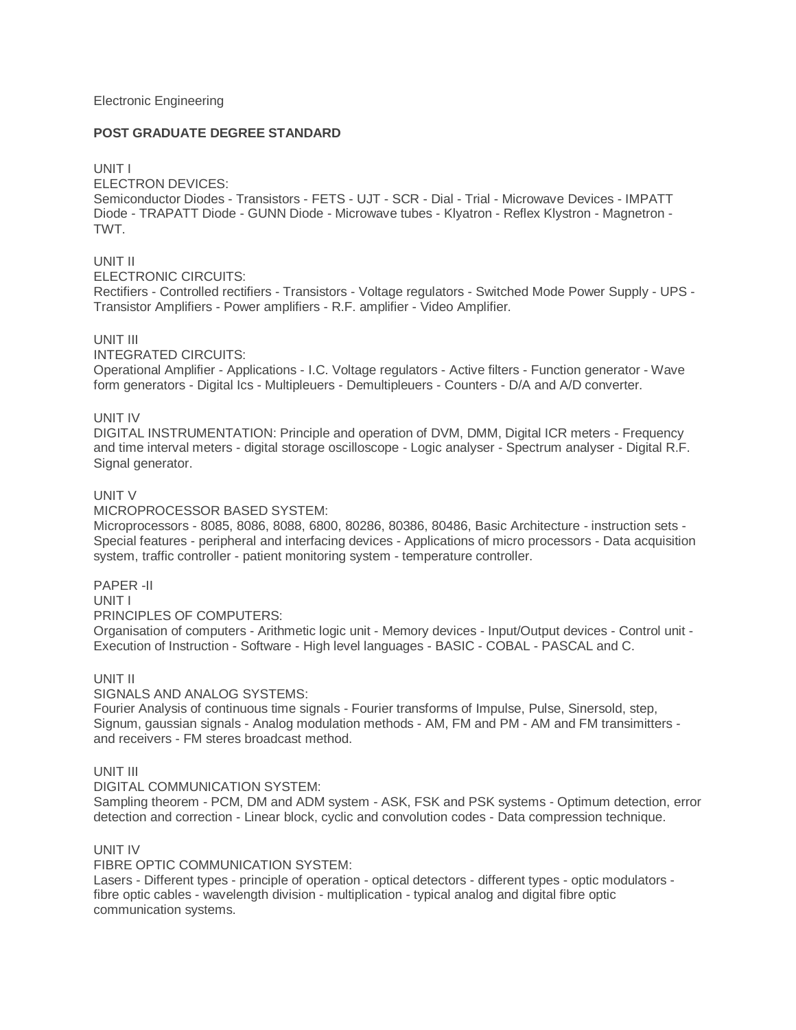#### Electronic Engineering

### **POST GRADUATE DEGREE STANDARD**

### UNIT I

ELECTRON DEVICES:

Semiconductor Diodes - Transistors - FETS - UJT - SCR - Dial - Trial - Microwave Devices - IMPATT Diode - TRAPATT Diode - GUNN Diode - Microwave tubes - Klyatron - Reflex Klystron - Magnetron - TWT.

# UNIT II

ELECTRONIC CIRCUITS:

Rectifiers - Controlled rectifiers - Transistors - Voltage regulators - Switched Mode Power Supply - UPS - Transistor Amplifiers - Power amplifiers - R.F. amplifier - Video Amplifier.

# UNIT III

INTEGRATED CIRCUITS:

Operational Amplifier - Applications - I.C. Voltage regulators - Active filters - Function generator - Wave form generators - Digital Ics - Multipleuers - Demultipleuers - Counters - D/A and A/D converter.

# UNIT IV

DIGITAL INSTRUMENTATION: Principle and operation of DVM, DMM, Digital ICR meters - Frequency and time interval meters - digital storage oscilloscope - Logic analyser - Spectrum analyser - Digital R.F. Signal generator.

# UNIT V

#### MICROPROCESSOR BASED SYSTEM:

Microprocessors - 8085, 8086, 8088, 6800, 80286, 80386, 80486, Basic Architecture - instruction sets - Special features - peripheral and interfacing devices - Applications of micro processors - Data acquisition system, traffic controller - patient monitoring system - temperature controller.

#### PAPER -II

UNIT I

PRINCIPLES OF COMPUTERS:

Organisation of computers - Arithmetic logic unit - Memory devices - Input/Output devices - Control unit - Execution of Instruction - Software - High level languages - BASIC - COBAL - PASCAL and C.

#### UNIT II

SIGNALS AND ANALOG SYSTEMS:

Fourier Analysis of continuous time signals - Fourier transforms of Impulse, Pulse, Sinersold, step, Signum, gaussian signals - Analog modulation methods - AM, FM and PM - AM and FM transimitters and receivers - FM steres broadcast method.

### UNIT III

DIGITAL COMMUNICATION SYSTEM:

Sampling theorem - PCM, DM and ADM system - ASK, FSK and PSK systems - Optimum detection, error detection and correction - Linear block, cyclic and convolution codes - Data compression technique.

# UNIT IV

FIBRE OPTIC COMMUNICATION SYSTEM:

Lasers - Different types - principle of operation - optical detectors - different types - optic modulators fibre optic cables - wavelength division - multiplication - typical analog and digital fibre optic communication systems.